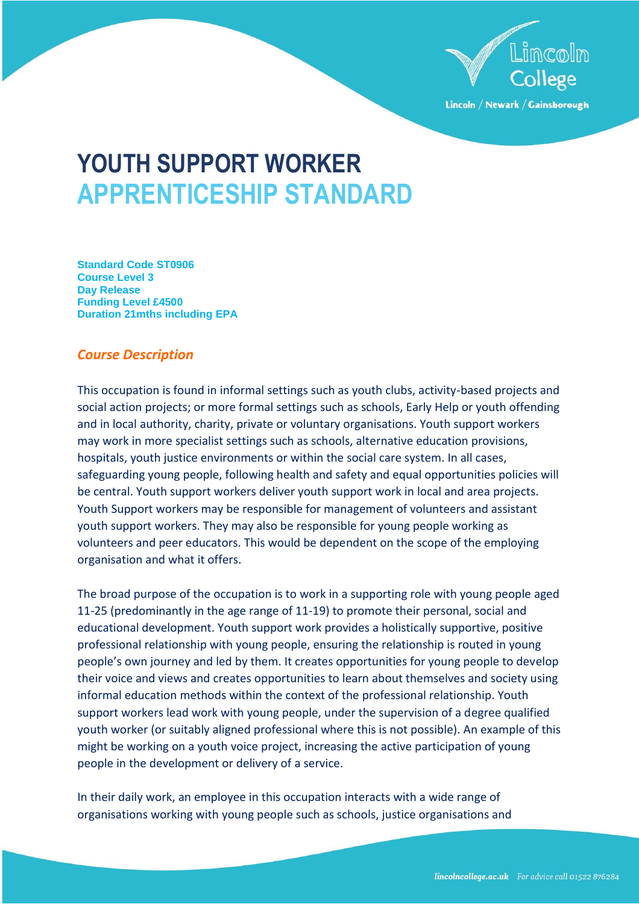

Lincoln / Newark / Gainsborough

# **YOUTH SUPPORT WORKER APPRENTICESHIP STANDARD**

**Standard Code ST0906 Course Level 3 Day Release Funding Level £4500 Duration 21mths including EPA**

# *Course Description*

This occupation is found in informal settings such as youth clubs, activity-based projects and social action projects; or more formal settings such as schools, Early Help or youth offending and in local authority, charity, private or voluntary organisations. Youth support workers may work in more specialist settings such as schools, alternative education provisions, hospitals, youth justice environments or within the social care system. In all cases, safeguarding young people, following health and safety and equal opportunities policies will be central. Youth support workers deliver youth support work in local and area projects. Youth Support workers may be responsible for management of volunteers and assistant youth support workers. They may also be responsible for young people working as volunteers and peer educators. This would be dependent on the scope of the employing organisation and what it offers.

The broad purpose of the occupation is to work in a supporting role with young people aged 11-25 (predominantly in the age range of 11-19) to promote their personal, social and educational development. Youth support work provides a holistically supportive, positive professional relationship with young people, ensuring the relationship is routed in young people's own journey and led by them. It creates opportunities for young people to develop their voice and views and creates opportunities to learn about themselves and society using informal education methods within the context of the professional relationship. Youth support workers lead work with young people, under the supervision of a degree qualified youth worker (or suitably aligned professional where this is not possible). An example of this might be working on a youth voice project, increasing the active participation of young people in the development or delivery of a service.

In their daily work, an employee in this occupation interacts with a wide range of organisations working with young people such as schools, justice organisations and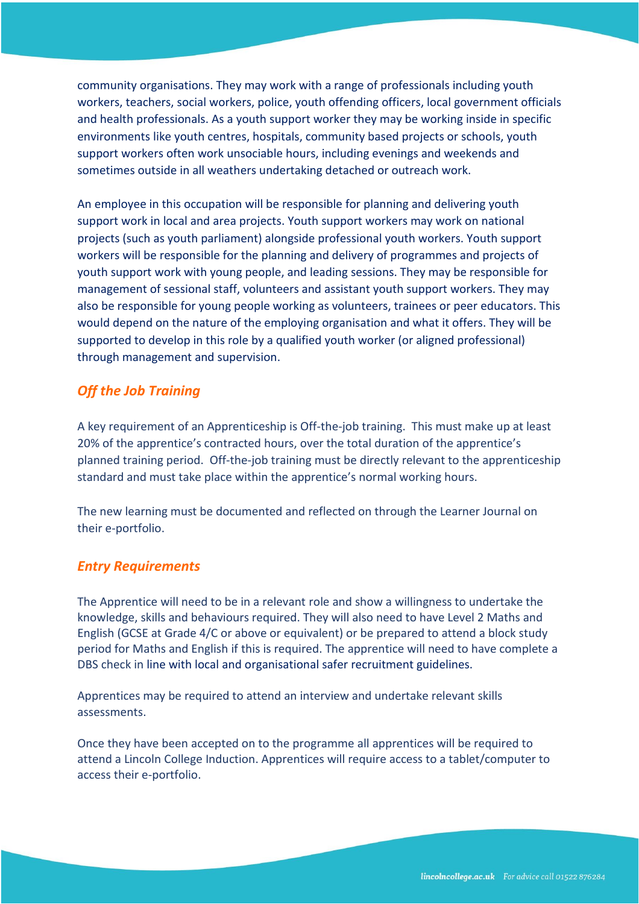community organisations. They may work with a range of professionals including youth workers, teachers, social workers, police, youth offending officers, local government officials and health professionals. As a youth support worker they may be working inside in specific environments like youth centres, hospitals, community based projects or schools, youth support workers often work unsociable hours, including evenings and weekends and sometimes outside in all weathers undertaking detached or outreach work.

An employee in this occupation will be responsible for planning and delivering youth support work in local and area projects. Youth support workers may work on national projects (such as youth parliament) alongside professional youth workers. Youth support workers will be responsible for the planning and delivery of programmes and projects of youth support work with young people, and leading sessions. They may be responsible for management of sessional staff, volunteers and assistant youth support workers. They may also be responsible for young people working as volunteers, trainees or peer educators. This would depend on the nature of the employing organisation and what it offers. They will be supported to develop in this role by a qualified youth worker (or aligned professional) through management and supervision.

# *Off the Job Training*

A key requirement of an Apprenticeship is Off-the-job training. This must make up at least 20% of the apprentice's contracted hours, over the total duration of the apprentice's planned training period. Off-the-job training must be directly relevant to the apprenticeship standard and must take place within the apprentice's normal working hours.

The new learning must be documented and reflected on through the Learner Journal on their e-portfolio.

# *Entry Requirements*

The Apprentice will need to be in a relevant role and show a willingness to undertake the knowledge, skills and behaviours required. They will also need to have Level 2 Maths and English (GCSE at Grade 4/C or above or equivalent) or be prepared to attend a block study period for Maths and English if this is required. The apprentice will need to have complete a DBS check in line with local and organisational safer recruitment guidelines.

Apprentices may be required to attend an interview and undertake relevant skills assessments.

Once they have been accepted on to the programme all apprentices will be required to attend a Lincoln College Induction. Apprentices will require access to a tablet/computer to access their e-portfolio.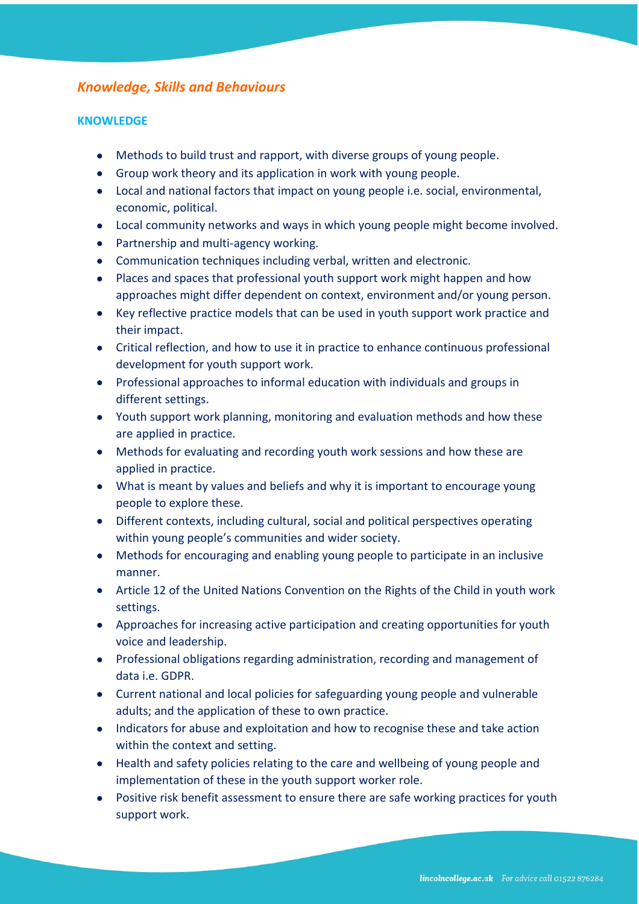# *Knowledge, Skills and Behaviours*

## **KNOWLEDGE**

- Methods to build trust and rapport, with diverse groups of young people.
- Group work theory and its application in work with young people.
- Local and national factors that impact on young people i.e. social, environmental, economic, political.
- Local community networks and ways in which young people might become involved.
- Partnership and multi-agency working.
- Communication techniques including verbal, written and electronic.
- Places and spaces that professional youth support work might happen and how approaches might differ dependent on context, environment and/or young person.
- Key reflective practice models that can be used in youth support work practice and their impact.
- Critical reflection, and how to use it in practice to enhance continuous professional development for youth support work.
- Professional approaches to informal education with individuals and groups in different settings.
- Youth support work planning, monitoring and evaluation methods and how these are applied in practice.
- Methods for evaluating and recording youth work sessions and how these are applied in practice.
- What is meant by values and beliefs and why it is important to encourage young people to explore these.
- Different contexts, including cultural, social and political perspectives operating within young people's communities and wider society.
- Methods for encouraging and enabling young people to participate in an inclusive manner.
- Article 12 of the United Nations Convention on the Rights of the Child in youth work settings.
- Approaches for increasing active participation and creating opportunities for youth voice and leadership.
- Professional obligations regarding administration, recording and management of data i.e. GDPR.
- Current national and local policies for safeguarding young people and vulnerable adults; and the application of these to own practice.
- Indicators for abuse and exploitation and how to recognise these and take action within the context and setting.
- Health and safety policies relating to the care and wellbeing of young people and implementation of these in the youth support worker role.
- Positive risk benefit assessment to ensure there are safe working practices for youth support work.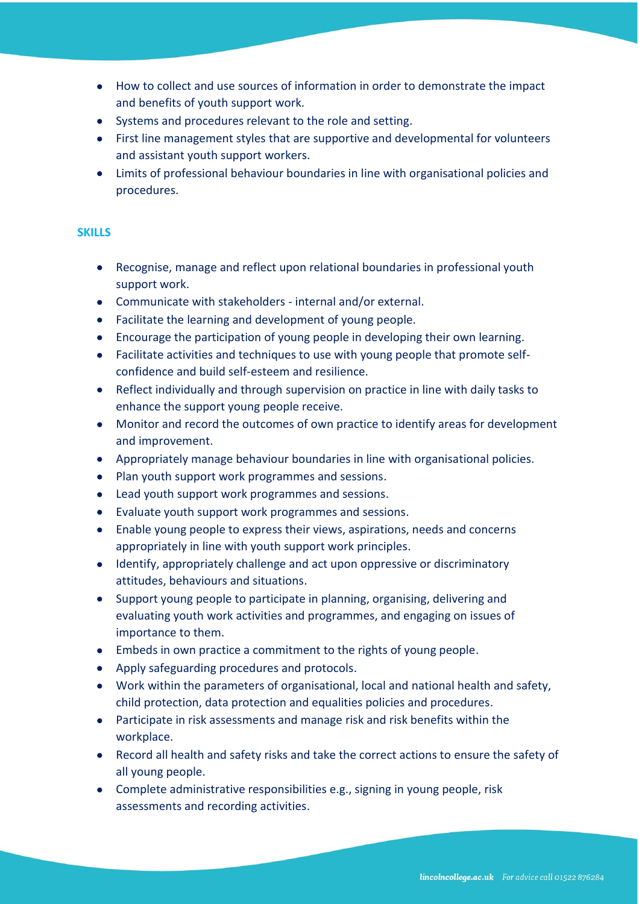- How to collect and use sources of information in order to demonstrate the impact and benefits of youth support work.
- Systems and procedures relevant to the role and setting.
- First line management styles that are supportive and developmental for volunteers and assistant youth support workers.
- Limits of professional behaviour boundaries in line with organisational policies and procedures.

#### **SKILLS**

- Recognise, manage and reflect upon relational boundaries in professional youth support work.
- Communicate with stakeholders internal and/or external.
- Facilitate the learning and development of young people.
- Encourage the participation of young people in developing their own learning.
- Facilitate activities and techniques to use with young people that promote selfconfidence and build self-esteem and resilience.
- Reflect individually and through supervision on practice in line with daily tasks to enhance the support young people receive.
- Monitor and record the outcomes of own practice to identify areas for development and improvement.
- Appropriately manage behaviour boundaries in line with organisational policies.
- Plan youth support work programmes and sessions.
- Lead youth support work programmes and sessions.
- Evaluate youth support work programmes and sessions.
- Enable young people to express their views, aspirations, needs and concerns appropriately in line with youth support work principles.
- Identify, appropriately challenge and act upon oppressive or discriminatory attitudes, behaviours and situations.
- Support young people to participate in planning, organising, delivering and evaluating youth work activities and programmes, and engaging on issues of importance to them.
- Embeds in own practice a commitment to the rights of young people.
- Apply safeguarding procedures and protocols.
- Work within the parameters of organisational, local and national health and safety, child protection, data protection and equalities policies and procedures.
- Participate in risk assessments and manage risk and risk benefits within the workplace.
- Record all health and safety risks and take the correct actions to ensure the safety of all young people.
- Complete administrative responsibilities e.g., signing in young people, risk assessments and recording activities.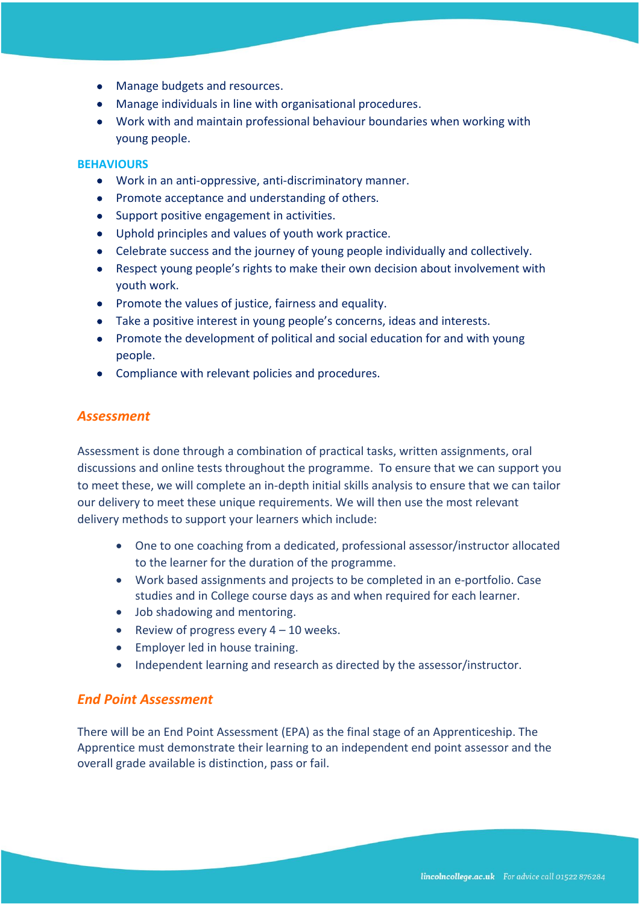- Manage budgets and resources.
- Manage individuals in line with organisational procedures.
- Work with and maintain professional behaviour boundaries when working with young people.

#### **BEHAVIOURS**

- Work in an anti-oppressive, anti-discriminatory manner.
- Promote acceptance and understanding of others.
- Support positive engagement in activities.
- Uphold principles and values of youth work practice.
- Celebrate success and the journey of young people individually and collectively.
- Respect young people's rights to make their own decision about involvement with youth work.
- Promote the values of justice, fairness and equality.
- Take a positive interest in young people's concerns, ideas and interests.
- Promote the development of political and social education for and with young people.
- Compliance with relevant policies and procedures.

## *Assessment*

Assessment is done through a combination of practical tasks, written assignments, oral discussions and online tests throughout the programme. To ensure that we can support you to meet these, we will complete an in-depth initial skills analysis to ensure that we can tailor our delivery to meet these unique requirements. We will then use the most relevant delivery methods to support your learners which include:

- One to one coaching from a dedicated, professional assessor/instructor allocated to the learner for the duration of the programme.
- Work based assignments and projects to be completed in an e-portfolio. Case studies and in College course days as and when required for each learner.
- Job shadowing and mentoring.
- Review of progress every  $4 10$  weeks.
- Employer led in house training.
- Independent learning and research as directed by the assessor/instructor.

## *End Point Assessment*

There will be an End Point Assessment (EPA) as the final stage of an Apprenticeship. The Apprentice must demonstrate their learning to an independent end point assessor and the overall grade available is distinction, pass or fail.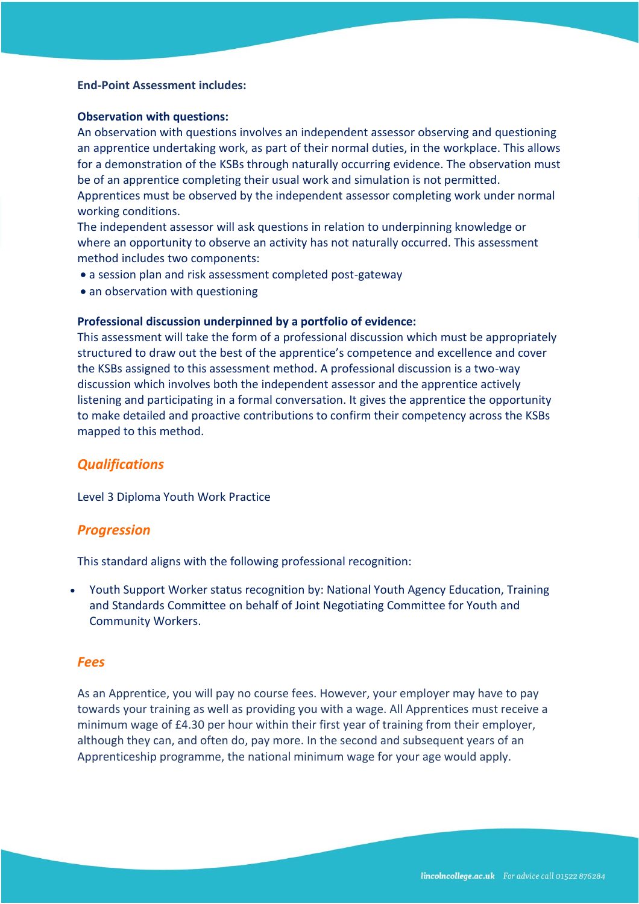#### **End-Point Assessment includes:**

#### **Observation with questions:**

An observation with questions involves an independent assessor observing and questioning an apprentice undertaking work, as part of their normal duties, in the workplace. This allows for a demonstration of the KSBs through naturally occurring evidence. The observation must be of an apprentice completing their usual work and simulation is not permitted.

Apprentices must be observed by the independent assessor completing work under normal working conditions.

The independent assessor will ask questions in relation to underpinning knowledge or where an opportunity to observe an activity has not naturally occurred. This assessment method includes two components:

- a session plan and risk assessment completed post-gateway
- an observation with questioning

#### **Professional discussion underpinned by a portfolio of evidence:**

This assessment will take the form of a professional discussion which must be appropriately structured to draw out the best of the apprentice's competence and excellence and cover the KSBs assigned to this assessment method. A professional discussion is a two-way discussion which involves both the independent assessor and the apprentice actively listening and participating in a formal conversation. It gives the apprentice the opportunity to make detailed and proactive contributions to confirm their competency across the KSBs mapped to this method.

## *Qualifications*

Level 3 Diploma Youth Work Practice

#### *Progression*

This standard aligns with the following professional recognition:

• Youth Support Worker status recognition by: National Youth Agency Education, Training and Standards Committee on behalf of Joint Negotiating Committee for Youth and Community Workers.

## *Fees*

As an Apprentice, you will pay no course fees. However, your employer may have to pay towards your training as well as providing you with a wage. All Apprentices must receive a minimum wage of £4.30 per hour within their first year of training from their employer, although they can, and often do, pay more. In the second and subsequent years of an Apprenticeship programme, the national minimum wage for your age would apply.